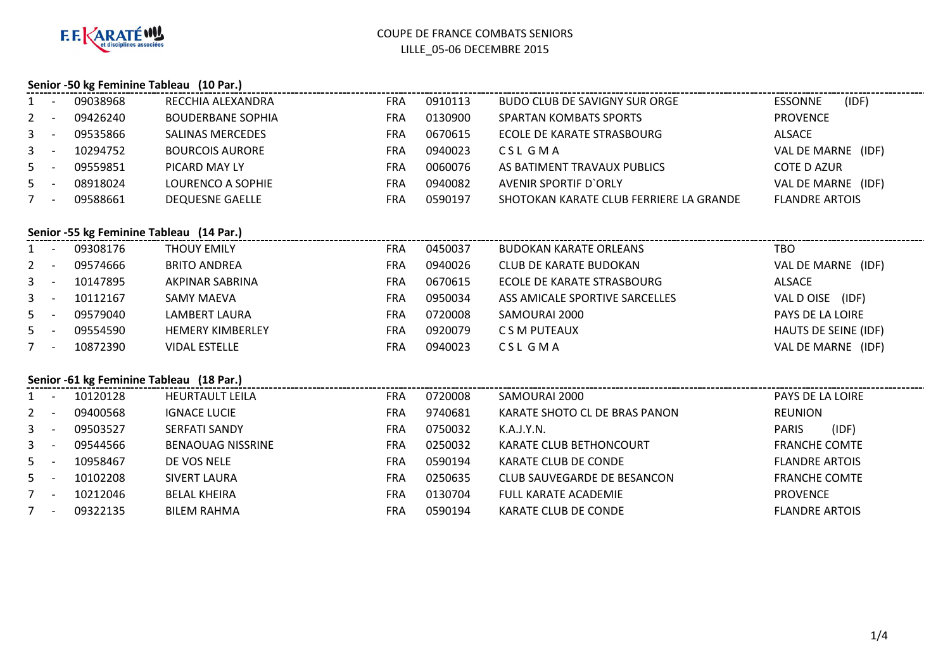

## **Senior -50 kg Feminine Tableau (10 Par.)**

|         | Senior -50 kg Feminine Tableau (ID Par.) |          |                          |            |         |                                         |                         |  |  |  |  |
|---------|------------------------------------------|----------|--------------------------|------------|---------|-----------------------------------------|-------------------------|--|--|--|--|
| $1 -$   |                                          | 09038968 | RECCHIA ALEXANDRA        | <b>FRA</b> | 0910113 | BUDO CLUB DE SAVIGNY SUR ORGE           | (IDF)<br><b>ESSONNE</b> |  |  |  |  |
| $2 -$   |                                          | 09426240 | <b>BOUDERBANE SOPHIA</b> | <b>FRA</b> | 0130900 | <b>SPARTAN KOMBATS SPORTS</b>           | <b>PROVENCE</b>         |  |  |  |  |
| $3 - 5$ |                                          | 09535866 | <b>SALINAS MERCEDES</b>  | <b>FRA</b> | 0670615 | ECOLE DE KARATE STRASBOURG              | ALSACE                  |  |  |  |  |
| $3 - 5$ |                                          | 10294752 | <b>BOURCOIS AURORE</b>   | <b>FRA</b> | 0940023 | CSL GMA                                 | VAL DE MARNE (IDF)      |  |  |  |  |
| $5 -$   |                                          | 09559851 | PICARD MAY LY            | <b>FRA</b> | 0060076 | AS BATIMENT TRAVAUX PUBLICS             | <b>COTE D AZUR</b>      |  |  |  |  |
| $5 -$   |                                          | 08918024 | LOURENCO A SOPHIE        | <b>FRA</b> | 0940082 | AVENIR SPORTIF D'ORLY                   | VAL DE MARNE (IDF)      |  |  |  |  |
|         |                                          | 09588661 | <b>DEQUESNE GAELLE</b>   | <b>FRA</b> | 0590197 | SHOTOKAN KARATE CLUB FERRIERE LA GRANDE | <b>FLANDRE ARTOIS</b>   |  |  |  |  |
|         |                                          |          |                          |            |         |                                         |                         |  |  |  |  |

### **Senior -55 kg Feminine Tableau (14 Par.)**

| $1 -$   | 09308176 | <b>THOUY EMILY</b>      | <b>FRA</b> | 0450037 | <b>BUDOKAN KARATE ORLEANS</b>  | <b>TBO</b>           |
|---------|----------|-------------------------|------------|---------|--------------------------------|----------------------|
| $2 -$   | 09574666 | <b>BRITO ANDREA</b>     | <b>FRA</b> | 0940026 | <b>CLUB DE KARATE BUDOKAN</b>  | VAL DE MARNE (IDF)   |
| $3 - 5$ | 10147895 | AKPINAR SABRINA         | <b>FRA</b> | 0670615 | ECOLE DE KARATE STRASBOURG     | ALSACE               |
| $3 - 5$ | 10112167 | <b>SAMY MAEVA</b>       | <b>FRA</b> | 0950034 | ASS AMICALE SPORTIVE SARCELLES | VAL D OISE<br>(IDF)  |
| $5 -$   | 09579040 | LAMBERT LAURA           | <b>FRA</b> | 0720008 | SAMOURAI 2000                  | PAYS DE LA LOIRE     |
| $5 -$   | 09554590 | <b>HEMERY KIMBERLEY</b> | <b>FRA</b> | 0920079 | C S M PUTEAUX                  | HAUTS DE SEINE (IDF) |
|         | 10872390 | <b>VIDAL ESTELLE</b>    | <b>FRA</b> | 0940023 | CSL GMA                        | VAL DE MARNE (IDF)   |

### **Senior -61 kg Feminine Tableau (18 Par.)**

|              | Senior - 61 kg Feminine Tableau (18 Par.) |          |                          |            |         |                               |                       |  |  |  |
|--------------|-------------------------------------------|----------|--------------------------|------------|---------|-------------------------------|-----------------------|--|--|--|
|              |                                           | 10120128 | <b>HEURTAULT LEILA</b>   | <b>FRA</b> | 0720008 | SAMOURAI 2000                 | PAYS DE LA LOIRE      |  |  |  |
| $2^{\circ}$  |                                           | 09400568 | <b>IGNACE LUCIE</b>      | <b>FRA</b> | 9740681 | KARATE SHOTO CL DE BRAS PANON | <b>REUNION</b>        |  |  |  |
|              | $3 -$                                     | 09503527 | <b>SERFATI SANDY</b>     | <b>FRA</b> | 0750032 | K.A.J.Y.N.                    | (IDF)<br><b>PARIS</b> |  |  |  |
| $\mathbf{3}$ |                                           | 09544566 | <b>BENAOUAG NISSRINE</b> | <b>FRA</b> | 0250032 | KARATE CLUB BETHONCOURT       | <b>FRANCHE COMTE</b>  |  |  |  |
|              | $5 -$                                     | 10958467 | DE VOS NELE              | <b>FRA</b> | 0590194 | KARATE CLUB DE CONDE          | <b>FLANDRE ARTOIS</b> |  |  |  |
|              | $5 -$                                     | 10102208 | SIVERT LAURA             | <b>FRA</b> | 0250635 | CLUB SAUVEGARDE DE BESANCON   | <b>FRANCHE COMTE</b>  |  |  |  |
|              | $\overline{\phantom{0}}$                  | 10212046 | <b>BELAL KHEIRA</b>      | <b>FRA</b> | 0130704 | <b>FULL KARATE ACADEMIE</b>   | <b>PROVENCE</b>       |  |  |  |
|              |                                           | 09322135 | <b>BILEM RAHMA</b>       | FRA        | 0590194 | KARATE CLUB DE CONDE          | <b>FLANDRE ARTOIS</b> |  |  |  |
|              |                                           |          |                          |            |         |                               |                       |  |  |  |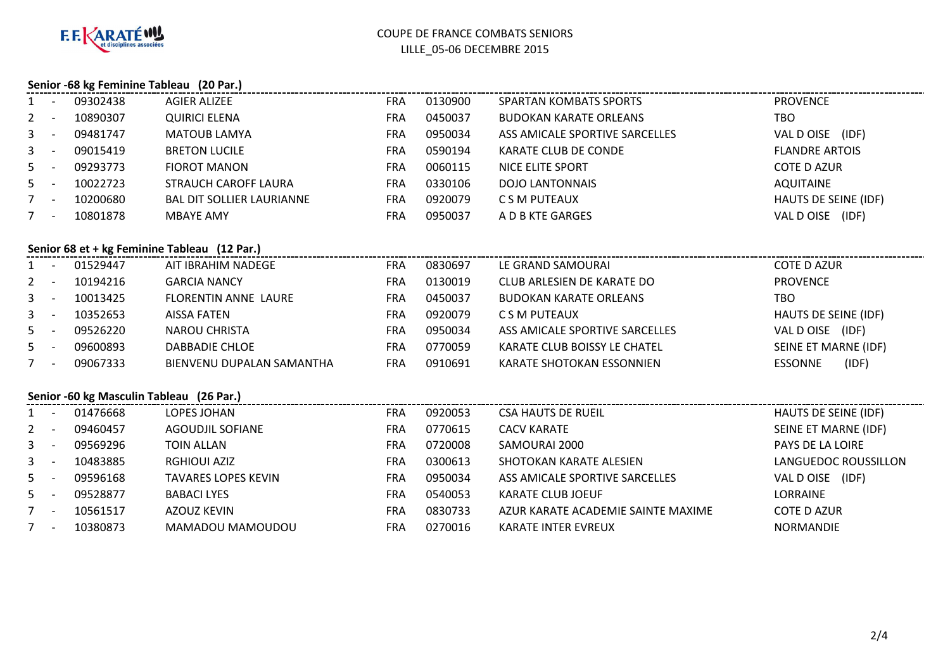

# **Senior -68 kg Feminine Tableau (20 Par.)**

| 1              | $\overline{\phantom{a}}$ | 09302438 | <b>AGIER ALIZEE</b>                          | <b>FRA</b> | 0130900 | <b>SPARTAN KOMBATS SPORTS</b>      | <b>PROVENCE</b>             |
|----------------|--------------------------|----------|----------------------------------------------|------------|---------|------------------------------------|-----------------------------|
| $\overline{2}$ | $\sim$                   | 10890307 | <b>QUIRICI ELENA</b>                         | <b>FRA</b> | 0450037 | <b>BUDOKAN KARATE ORLEANS</b>      | <b>TBO</b>                  |
| $\mathbf{3}$   | $\sim$ $-$               | 09481747 | <b>MATOUB LAMYA</b>                          | <b>FRA</b> | 0950034 | ASS AMICALE SPORTIVE SARCELLES     | VAL D OISE (IDF)            |
| $\mathbf{3}$   | $\sim$ $-$               | 09015419 | <b>BRETON LUCILE</b>                         | <b>FRA</b> | 0590194 | <b>KARATE CLUB DE CONDE</b>        | <b>FLANDRE ARTOIS</b>       |
| 5 <sub>1</sub> | $\sim$ $-$               | 09293773 | <b>FIOROT MANON</b>                          | <b>FRA</b> | 0060115 | <b>NICE ELITE SPORT</b>            | <b>COTE D AZUR</b>          |
| 5 <sup>5</sup> | $\sim$                   | 10022723 | STRAUCH CAROFF LAURA                         | <b>FRA</b> | 0330106 | <b>DOJO LANTONNAIS</b>             | <b>AQUITAINE</b>            |
| $7 -$          |                          | 10200680 | <b>BAL DIT SOLLIER LAURIANNE</b>             | <b>FRA</b> | 0920079 | C S M PUTEAUX                      | HAUTS DE SEINE (IDF)        |
| $7 -$          |                          | 10801878 | <b>MBAYE AMY</b>                             | <b>FRA</b> | 0950037 | A D B KTE GARGES                   | VAL D OISE (IDF)            |
|                |                          |          |                                              |            |         |                                    |                             |
|                |                          |          | Senior 68 et + kg Feminine Tableau (12 Par.) |            |         |                                    |                             |
|                | $\sim$                   | 01529447 | AIT IBRAHIM NADEGE                           | <b>FRA</b> | 0830697 | LE GRAND SAMOURAI                  | <b>COTE D AZUR</b>          |
| $\mathbf{2}$   | $\sim$ $-$               | 10194216 | <b>GARCIA NANCY</b>                          | <b>FRA</b> | 0130019 | CLUB ARLESIEN DE KARATE DO         | <b>PROVENCE</b>             |
|                | $3 - 1$                  | 10013425 | <b>FLORENTIN ANNE LAURE</b>                  | <b>FRA</b> | 0450037 | <b>BUDOKAN KARATE ORLEANS</b>      | <b>TBO</b>                  |
|                | $3 - -$                  | 10352653 | <b>AISSA FATEN</b>                           | <b>FRA</b> | 0920079 | C S M PUTEAUX                      | <b>HAUTS DE SEINE (IDF)</b> |
| $5 -$          |                          | 09526220 | <b>NAROU CHRISTA</b>                         | <b>FRA</b> | 0950034 | ASS AMICALE SPORTIVE SARCELLES     | VAL D OISE (IDF)            |
| 5              | $\sim$ $-$               | 09600893 | DABBADIE CHLOE                               | <b>FRA</b> | 0770059 | KARATE CLUB BOISSY LE CHATEL       | SEINE ET MARNE (IDF)        |
| $7 -$          |                          | 09067333 | BIENVENU DUPALAN SAMANTHA                    | <b>FRA</b> | 0910691 | KARATE SHOTOKAN ESSONNIEN          | (IDF)<br><b>ESSONNE</b>     |
|                |                          |          |                                              |            |         |                                    |                             |
|                |                          |          | Senior -60 kg Masculin Tableau (26 Par.)     |            |         |                                    |                             |
|                |                          | 01476668 | LOPES JOHAN                                  | <b>FRA</b> | 0920053 | <b>CSA HAUTS DE RUEIL</b>          | <b>HAUTS DE SEINE (IDF)</b> |
| 2              | $\sim$                   | 09460457 | <b>AGOUDJIL SOFIANE</b>                      | <b>FRA</b> | 0770615 | <b>CACV KARATE</b>                 | SEINE ET MARNE (IDF)        |
| $\mathbf{3}$   | $\sim$ $-$               | 09569296 | <b>TOIN ALLAN</b>                            | <b>FRA</b> | 0720008 | SAMOURAI 2000                      | PAYS DE LA LOIRE            |
| 3 <sup>7</sup> | $\sim$ $-$               | 10483885 | <b>RGHIOUI AZIZ</b>                          | <b>FRA</b> | 0300613 | SHOTOKAN KARATE ALESIEN            | LANGUEDOC ROUSSILLON        |
| 5              | $\sim$ $-$               | 09596168 | <b>TAVARES LOPES KEVIN</b>                   | <b>FRA</b> | 0950034 | ASS AMICALE SPORTIVE SARCELLES     | VAL D OISE (IDF)            |
| $5 -$          |                          | 09528877 | <b>BABACI LYES</b>                           | <b>FRA</b> | 0540053 | <b>KARATE CLUB JOEUF</b>           | LORRAINE                    |
| $7 -$          |                          | 10561517 | <b>AZOUZ KEVIN</b>                           | <b>FRA</b> | 0830733 | AZUR KARATE ACADEMIE SAINTE MAXIME | <b>COTE D AZUR</b>          |
|                | $7 -$                    | 10380873 | MAMADOU MAMOUDOU                             | <b>FRA</b> | 0270016 | <b>KARATE INTER EVREUX</b>         | <b>NORMANDIE</b>            |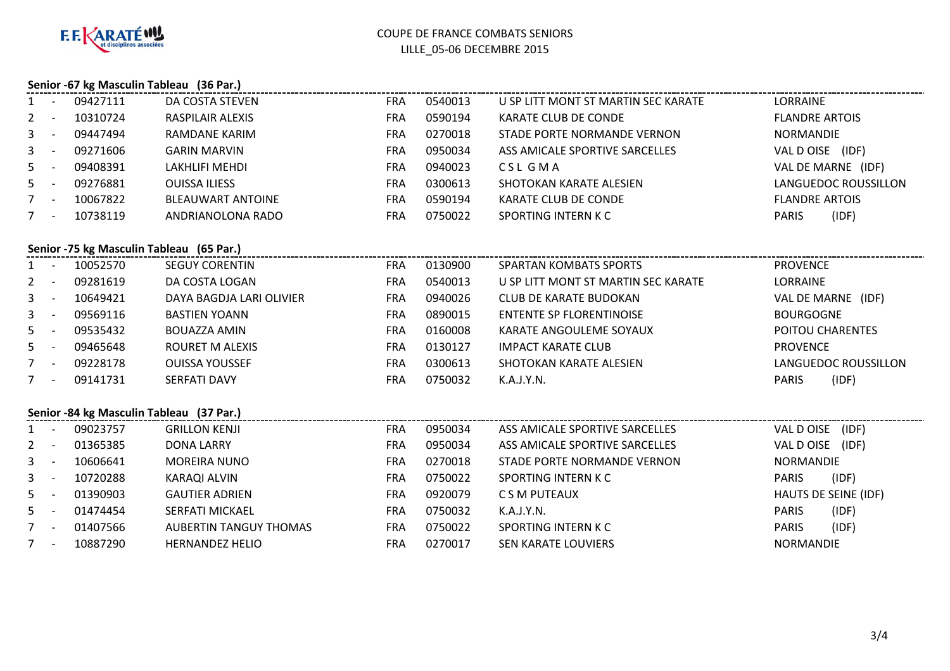

### **Senior -67 kg Masculin Tableau (36 Par.)**

|                | Senior -67 kg Masculin Tableau (36 Par.) |                                          |                               |            |         |                                     |                       |  |  |  |
|----------------|------------------------------------------|------------------------------------------|-------------------------------|------------|---------|-------------------------------------|-----------------------|--|--|--|
|                |                                          | 09427111                                 | DA COSTA STEVEN               | <b>FRA</b> | 0540013 | U SP LITT MONT ST MARTIN SEC KARATE | LORRAINE              |  |  |  |
| $\mathbf{2}$   | $\sim$ $-$                               | 10310724                                 | <b>RASPILAIR ALEXIS</b>       | <b>FRA</b> | 0590194 | KARATE CLUB DE CONDE                | <b>FLANDRE ARTOIS</b> |  |  |  |
| 3              | $\sim$                                   | 09447494                                 | RAMDANE KARIM                 | <b>FRA</b> | 0270018 | STADE PORTE NORMANDE VERNON         | <b>NORMANDIE</b>      |  |  |  |
| 3              | $\sim$                                   | 09271606                                 | <b>GARIN MARVIN</b>           | <b>FRA</b> | 0950034 | ASS AMICALE SPORTIVE SARCELLES      | VAL DOISE (IDF)       |  |  |  |
| 5              | $\sim$                                   | 09408391                                 | LAKHLIFI MEHDI                | <b>FRA</b> | 0940023 | <b>CSL GMA</b>                      | VAL DE MARNE (IDF)    |  |  |  |
| 5 <sub>1</sub> | $\sim$ $-$                               | 09276881                                 | <b>OUISSA ILIESS</b>          | <b>FRA</b> | 0300613 | SHOTOKAN KARATE ALESIEN             | LANGUEDOC ROUSSILLON  |  |  |  |
| $7 -$          |                                          | 10067822                                 | <b>BLEAUWART ANTOINE</b>      | <b>FRA</b> | 0590194 | KARATE CLUB DE CONDE                | <b>FLANDRE ARTOIS</b> |  |  |  |
| 7              |                                          | 10738119                                 | ANDRIANOLONA RADO             | <b>FRA</b> | 0750022 | SPORTING INTERN K C                 | (IDF)<br><b>PARIS</b> |  |  |  |
|                |                                          |                                          |                               |            |         |                                     |                       |  |  |  |
|                |                                          | Senior -75 kg Masculin Tableau (65 Par.) |                               |            |         |                                     |                       |  |  |  |
| $\mathbf{1}$   | $\sim$ $-$                               | 10052570                                 | <b>SEGUY CORENTIN</b>         | FRA        | 0130900 | <b>SPARTAN KOMBATS SPORTS</b>       | <b>PROVENCE</b>       |  |  |  |
| $\mathbf{2}$   | $\sim$ $-$                               | 09281619                                 | DA COSTA LOGAN                | <b>FRA</b> | 0540013 | U SP LITT MONT ST MARTIN SEC KARATE | <b>LORRAINE</b>       |  |  |  |
| 3              | $\sim$                                   | 10649421                                 | DAYA BAGDJA LARI OLIVIER      | <b>FRA</b> | 0940026 | CLUB DE KARATE BUDOKAN              | VAL DE MARNE (IDF)    |  |  |  |
| 3              | $\sim$ $-$                               | 09569116                                 | <b>BASTIEN YOANN</b>          | <b>FRA</b> | 0890015 | <b>ENTENTE SP FLORENTINOISE</b>     | <b>BOURGOGNE</b>      |  |  |  |
| 5              | $\sim$ $-$                               | 09535432                                 | <b>BOUAZZA AMIN</b>           | <b>FRA</b> | 0160008 | KARATE ANGOULEME SOYAUX             | POITOU CHARENTES      |  |  |  |
| 5 <sup>1</sup> | $\sim$ $-$                               | 09465648                                 | ROURET M ALEXIS               | <b>FRA</b> | 0130127 | <b>IMPACT KARATE CLUB</b>           | <b>PROVENCE</b>       |  |  |  |
| $7 -$          |                                          | 09228178                                 | <b>OUISSA YOUSSEF</b>         | <b>FRA</b> | 0300613 | SHOTOKAN KARATE ALESIEN             | LANGUEDOC ROUSSILLON  |  |  |  |
| $7 -$          |                                          | 09141731                                 | SERFATI DAVY                  | <b>FRA</b> | 0750032 | K.A.J.Y.N.                          | (IDF)<br>PARIS        |  |  |  |
|                |                                          |                                          |                               |            |         |                                     |                       |  |  |  |
|                |                                          | Senior -84 kg Masculin Tableau (37 Par.) |                               |            |         |                                     |                       |  |  |  |
|                |                                          | 09023757                                 | <b>GRILLON KENJI</b>          | <b>FRA</b> | 0950034 | ASS AMICALE SPORTIVE SARCELLES      | VAL D OISE (IDF)      |  |  |  |
| $\mathbf{2}$   | $\sim$ $-$                               | 01365385                                 | DONA LARRY                    | <b>FRA</b> | 0950034 | ASS AMICALE SPORTIVE SARCELLES      | VAL D OISE (IDF)      |  |  |  |
| 3              | $\sim$                                   | 10606641                                 | <b>MOREIRA NUNO</b>           | <b>FRA</b> | 0270018 | STADE PORTE NORMANDE VERNON         | NORMANDIE             |  |  |  |
| 3              | $\sim$                                   | 10720288                                 | KARAQI ALVIN                  | <b>FRA</b> | 0750022 | SPORTING INTERN K C                 | <b>PARIS</b><br>(IDF) |  |  |  |
| 5              | $\sim$ $-$                               | 01390903                                 | <b>GAUTIER ADRIEN</b>         | <b>FRA</b> | 0920079 | C S M PUTEAUX                       | HAUTS DE SEINE (IDF)  |  |  |  |
| 5 <sub>1</sub> | $\sim$ $-$                               | 01474454                                 | <b>SERFATI MICKAEL</b>        | <b>FRA</b> | 0750032 | K.A.J.Y.N.                          | PARIS<br>(IDF)        |  |  |  |
| $7 -$          |                                          | 01407566                                 | <b>AUBERTIN TANGUY THOMAS</b> | <b>FRA</b> | 0750022 | <b>SPORTING INTERN K C</b>          | (IDF)<br><b>PARIS</b> |  |  |  |
| $7 -$          |                                          | 10887290                                 | <b>HERNANDEZ HELIO</b>        | <b>FRA</b> | 0270017 | SEN KARATE LOUVIERS                 | <b>NORMANDIE</b>      |  |  |  |
|                |                                          |                                          |                               |            |         |                                     |                       |  |  |  |